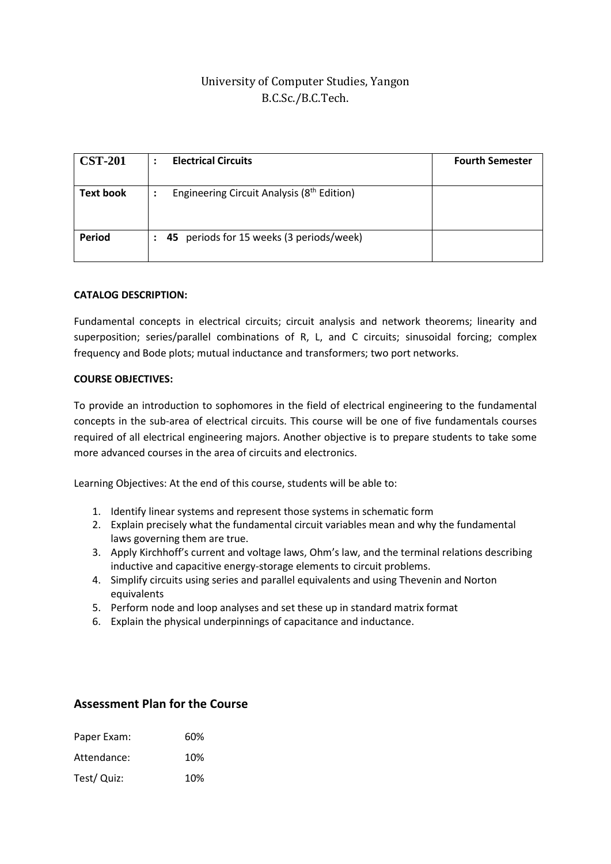# University of Computer Studies, Yangon B.C.Sc./B.C.Tech.

| <b>CST-201</b>   | <b>Electrical Circuits</b>                                                    | <b>Fourth Semester</b> |
|------------------|-------------------------------------------------------------------------------|------------------------|
| <b>Text book</b> | Engineering Circuit Analysis (8 <sup>th</sup> Edition)<br>٠<br>$\blacksquare$ |                        |
| <b>Period</b>    | 45 periods for 15 weeks (3 periods/week)<br>:                                 |                        |

#### **CATALOG DESCRIPTION:**

Fundamental concepts in electrical circuits; circuit analysis and network theorems; linearity and superposition; series/parallel combinations of R, L, and C circuits; sinusoidal forcing; complex frequency and Bode plots; mutual inductance and transformers; two port networks.

#### **COURSE OBJECTIVES:**

To provide an introduction to sophomores in the field of electrical engineering to the fundamental concepts in the sub-area of electrical circuits. This course will be one of five fundamentals courses required of all electrical engineering majors. Another objective is to prepare students to take some more advanced courses in the area of circuits and electronics.

Learning Objectives: At the end of this course, students will be able to:

- 1. Identify linear systems and represent those systems in schematic form
- 2. Explain precisely what the fundamental circuit variables mean and why the fundamental laws governing them are true.
- 3. Apply Kirchhoff's current and voltage laws, Ohm's law, and the terminal relations describing inductive and capacitive energy-storage elements to circuit problems.
- 4. Simplify circuits using series and parallel equivalents and using Thevenin and Norton equivalents
- 5. Perform node and loop analyses and set these up in standard matrix format
- 6. Explain the physical underpinnings of capacitance and inductance.

### **Assessment Plan for the Course**

| Paper Exam: | 60% |
|-------------|-----|
| Attendance: | 10% |
| Test/ Quiz: | 10% |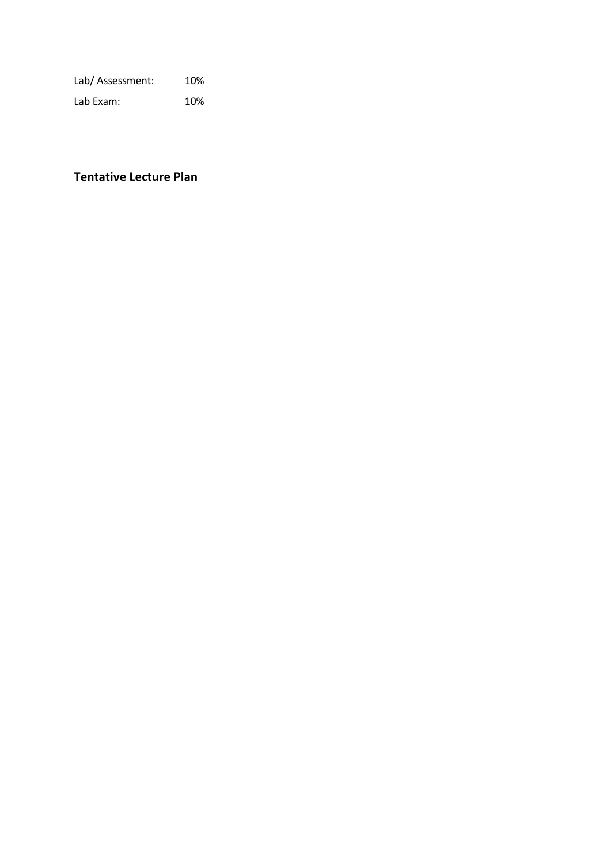Lab/ Assessment: 10%

Lab Exam: 10%

# **Tentative Lecture Plan**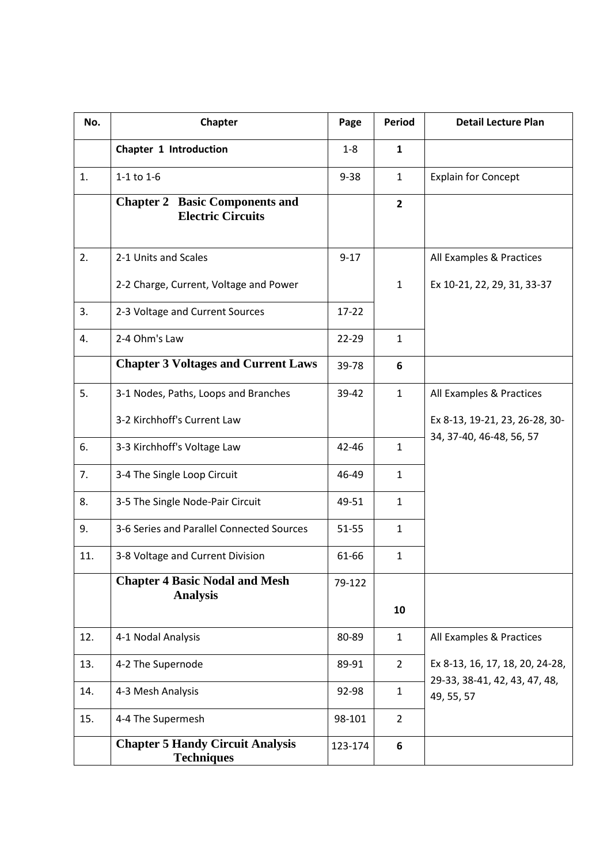| No. | Chapter                                                           | Page      | <b>Period</b>  | <b>Detail Lecture Plan</b>                                                     |
|-----|-------------------------------------------------------------------|-----------|----------------|--------------------------------------------------------------------------------|
|     | Chapter 1 Introduction                                            | $1 - 8$   | $\mathbf{1}$   |                                                                                |
| 1.  | $1-1$ to $1-6$                                                    | $9 - 38$  | $\mathbf{1}$   | <b>Explain for Concept</b>                                                     |
|     | <b>Chapter 2 Basic Components and</b><br><b>Electric Circuits</b> |           | $\overline{2}$ |                                                                                |
| 2.  | 2-1 Units and Scales                                              | $9 - 17$  |                | All Examples & Practices                                                       |
|     | 2-2 Charge, Current, Voltage and Power                            |           | $\mathbf{1}$   | Ex 10-21, 22, 29, 31, 33-37                                                    |
| 3.  | 2-3 Voltage and Current Sources                                   | $17 - 22$ |                |                                                                                |
| 4.  | 2-4 Ohm's Law                                                     | 22-29     | $\mathbf{1}$   |                                                                                |
|     | <b>Chapter 3 Voltages and Current Laws</b>                        | 39-78     | 6              |                                                                                |
| 5.  | 3-1 Nodes, Paths, Loops and Branches                              | 39-42     | $\mathbf{1}$   | All Examples & Practices                                                       |
|     | 3-2 Kirchhoff's Current Law                                       |           |                | Ex 8-13, 19-21, 23, 26-28, 30-                                                 |
| 6.  | 3-3 Kirchhoff's Voltage Law                                       | 42-46     | $\mathbf{1}$   | 34, 37-40, 46-48, 56, 57                                                       |
| 7.  | 3-4 The Single Loop Circuit                                       | 46-49     | $\mathbf{1}$   |                                                                                |
| 8.  | 3-5 The Single Node-Pair Circuit                                  | 49-51     | $\mathbf{1}$   |                                                                                |
| 9.  | 3-6 Series and Parallel Connected Sources                         | 51-55     | $\mathbf{1}$   |                                                                                |
| 11. | 3-8 Voltage and Current Division                                  | 61-66     | $\mathbf{1}$   |                                                                                |
|     | <b>Chapter 4 Basic Nodal and Mesh</b><br><b>Analysis</b>          | 79-122    |                |                                                                                |
|     |                                                                   |           | 10             |                                                                                |
| 12. | 4-1 Nodal Analysis                                                | 80-89     | $\mathbf{1}$   | All Examples & Practices                                                       |
| 13. | 4-2 The Supernode                                                 | 89-91     | $\overline{2}$ | Ex 8-13, 16, 17, 18, 20, 24-28,<br>29-33, 38-41, 42, 43, 47, 48,<br>49, 55, 57 |
| 14. | 4-3 Mesh Analysis                                                 | 92-98     | $\mathbf{1}$   |                                                                                |
| 15. | 4-4 The Supermesh                                                 | 98-101    | $\overline{2}$ |                                                                                |
|     | <b>Chapter 5 Handy Circuit Analysis</b><br><b>Techniques</b>      | 123-174   | 6              |                                                                                |